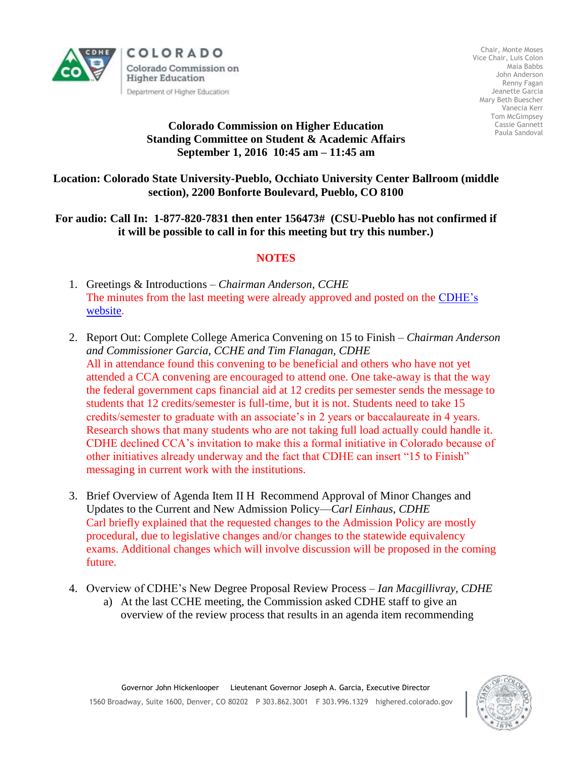

Chair, Monte Moses Vice Chair, Luis Colon Maia Babbs John Anderson Renny Fagan Jeanette Garcia Mary Beth Buescher Vanecia Kerr Tom McGimpsey Cassie Gannett Paula Sandoval

## **Colorado Commission on Higher Education Standing Committee on Student & Academic Affairs September 1, 2016 10:45 am – 11:45 am**

**Location: Colorado State University-Pueblo, Occhiato University Center Ballroom (middle section), 2200 Bonforte Boulevard, Pueblo, CO 8100**

## **For audio: Call In: 1-877-820-7831 then enter 156473# (CSU-Pueblo has not confirmed if it will be possible to call in for this meeting but try this number.)**

## **NOTES**

- 1. Greetings & Introductions *Chairman Anderson, CCHE* The minutes from the last meeting were already approved and posted on the [CDHE's](http://highered.colorado.gov/CCHE/Meetings/)  [website.](http://highered.colorado.gov/CCHE/Meetings/)
- 2. Report Out: Complete College America Convening on 15 to Finish *Chairman Anderson and Commissioner Garcia, CCHE and Tim Flanagan, CDHE* All in attendance found this convening to be beneficial and others who have not yet attended a CCA convening are encouraged to attend one. One take-away is that the way the federal government caps financial aid at 12 credits per semester sends the message to students that 12 credits/semester is full-time, but it is not. Students need to take 15 credits/semester to graduate with an associate's in 2 years or baccalaureate in 4 years. Research shows that many students who are not taking full load actually could handle it. CDHE declined CCA's invitation to make this a formal initiative in Colorado because of other initiatives already underway and the fact that CDHE can insert "15 to Finish" messaging in current work with the institutions.
- 3. Brief Overview of Agenda Item II H Recommend Approval of Minor Changes and Updates to the Current and New Admission Policy—*Carl Einhaus, CDHE* Carl briefly explained that the requested changes to the Admission Policy are mostly procedural, due to legislative changes and/or changes to the statewide equivalency exams. Additional changes which will involve discussion will be proposed in the coming future.
- 4. Overview of CDHE's New Degree Proposal Review Process *Ian Macgillivray, CDHE*
	- a) At the last CCHE meeting, the Commission asked CDHE staff to give an overview of the review process that results in an agenda item recommending